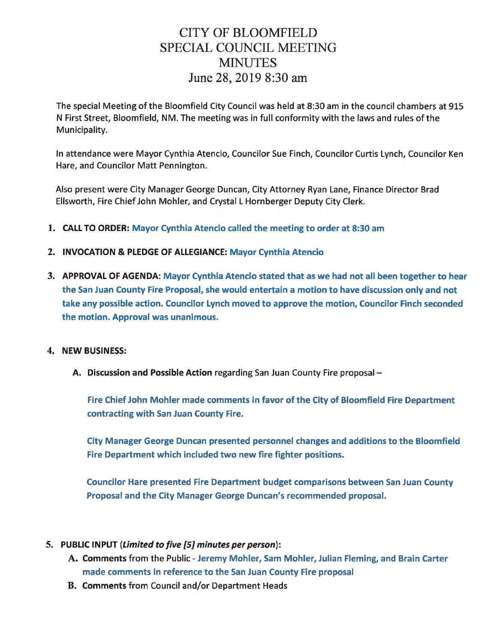## CITY OF BLOOMFIELD SPECIAL COUNCIL MEETING **MINUTES** June 28, 2019 8:30 am

The special Meeting of the Bloomfield City Council was held at 8:30 am in the council chambers at 915 N First Street, Bloomfield, NM. The meeting was in full conformity with the laws and rules of the Municipality.

In attendance were Mayor Cynthia Atencio, Councilor Sue Finch, Councilor Curtis Lynch, Councilor Ken Hare, and Councilor Matt Pennington.

Also present were City Manager George Duncan, City Attorney Ryan Lane, Finance Director Brad Ellsworth, Fire Chief John Mohler, and Crystal L Hornberger Deputy City Clerk.

- 1. CALL TO ORDER: Mayor Cynthia Atencio called the meeting to order at 8:30 am
- 2. INVOCATION & PLEDGE OF ALLEGIANCE: Mayor Cynthia Atencio
- 3. APPROVAL OF AGENDA: Mayor Cynthia Atencio stated that as we had not all been together to hear the San Juan County Fire Proposal, she would entertain a motion to have discussion only and not take any possible action. Councilor Lynch moved to approve the motion, Councilor Finch seconded the motion. Approval was unanimous.

## 4. NEW BUSINESS:

A. Discussion and Possible Action regarding San Juan County Fire proposal -

Fire Chief John Mohler made comments in favor of the City of Bloomfield Fire Department contracting with San Juan County Fire.

City Manager George Duncan presented personnel changes and additions to the Bloomfield Fire Department which included two new fire fighter positions.

Councilor Hare presented Fire Department budget comparisons between San Juan County Proposal and the City Manager George Duncan's recommended proposal.

## 5. PUBLIC INPUT (Limited to five {5} minutes per person):

- A. Comments from the Public Jeremy Mohler, Sam Mohler, Julian Fleming, and Brain Carter made comments in reference to the San Juan County Fire proposal
- B. Comments from Council and/or Department Heads